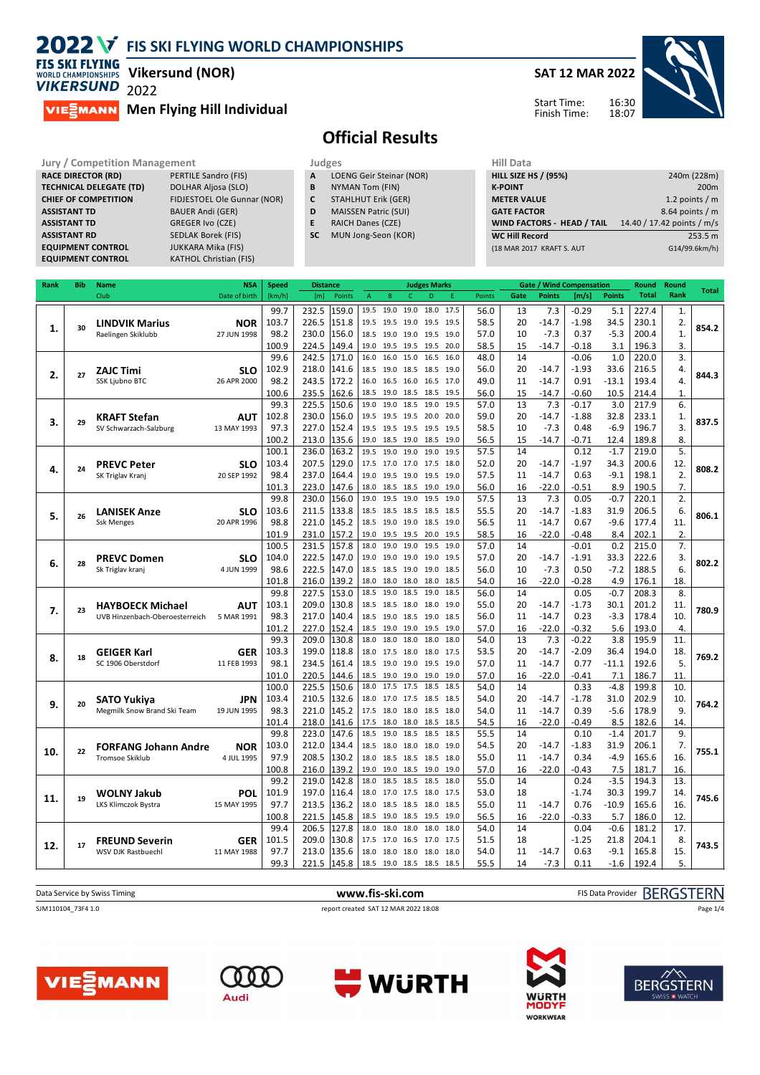

**TECHNICAL DELEGATE (TD)** 

**EQUIPMENT CONTROL** 

**Vikersund (NOR)**

**VIE** MANN **Men Flying Hill Individual**

**CHIEF OF COMPETITION** FIDJESTOEL Ole Gunnar (NOR) **ASSISTANT TD** BAUER Andi (GER) **ASSISTANT TD** GREGER Ivo (CZE) **ASSISTANT RD** SEDLAK Borek (FIS) **EQUIPMENT CONTROL FOR A SUBARA MIKA (FIS)**<br>**EQUIPMENT CONTROL** KATHOL Christian (FIS)



## **Official Results**

**Jury / Competition Management data and Judges RACE DIRECTOR (RD)** PERTILE Sandro (FIS) **A** LOG **RACE DIRECTOR (RD)** PERTILE Sandro (FIS)<br> **TECHNICAL DELEGATE (TD)** DOLHAR Aljosa (SLO)

- **A** LOENG Geir Steinar (NOR)<br>**B** NYMAN Tom (FIN) **B** NYMAN Tom (FIN)
- **C** STAHLHUT Erik (GER)
- **D** MAISSEN Patric (SUI)
- **E** RAICH Danes (CZE)
- **SC** MUN Jong-Seon (KOR)

| Hill Data                         |                            |
|-----------------------------------|----------------------------|
| <b>HILL SIZE HS / (95%)</b>       | 240m (228m)                |
| <b>K-POINT</b>                    | 200 <sub>m</sub>           |
| <b>METER VALUE</b>                | 1.2 points $/m$            |
| <b>GATE FACTOR</b>                | 8.64 points / m            |
| <b>WIND FACTORS - HEAD / TAIL</b> | 14.40 / 17.42 points / m/s |
| <b>WC Hill Record</b>             | 253.5 m                    |
| (18 MAR 2017 KRAFT S. AUT         | G14/99.6km/h)              |
|                                   |                            |

| Rank | Bib | <b>Name</b>                              | <b>NSA</b>                | Speed  | <b>Distance</b> |                |              |                        |              | <b>Judges Marks</b> |              |               |          |                | <b>Gate / Wind Compensation</b> |                | Round        | Round        | <b>Total</b> |
|------|-----|------------------------------------------|---------------------------|--------|-----------------|----------------|--------------|------------------------|--------------|---------------------|--------------|---------------|----------|----------------|---------------------------------|----------------|--------------|--------------|--------------|
|      |     | Club                                     | Date of birth             | [km/h] | [m]             | Points         | A            | B                      | $\mathsf{C}$ | D                   | F            | <b>Points</b> | Gate     | <b>Points</b>  | [m/s]                           | <b>Points</b>  | <b>Total</b> | Rank         |              |
|      |     |                                          |                           | 99.7   | 232.5           | 159.0          | 19.5         | 19.0                   | 19.0         | 18.0                | 17.5         | 56.0          | 13       | 7.3            | $-0.29$                         | 5.1            | 227.4        | 1.           |              |
|      |     | <b>LINDVIK Marius</b>                    | <b>NOR</b>                | 103.7  | 226.5           | 151.8          | 19.5         | 19.5 19.0              |              | 19.5                | 19.5         | 58.5          | 20       | $-14.7$        | $-1.98$                         | 34.5           | 230.1        | 2.           |              |
| 1.   | 30  | Raelingen Skiklubb                       | 27 JUN 1998               | 98.2   | 230.0           | 156.0          | 18.5         | 19.0 19.0              |              | 19.5 19.0           |              | 57.0          | 10       | $-7.3$         | 0.37                            | $-5.3$         | 200.4        | $\mathbf{1}$ | 854.2        |
|      |     |                                          |                           | 100.9  | 224.5           | 149.4          | 19.0         | 19.5 19.5              |              | 19.5                | 20.0         | 58.5          | 15       | $-14.7$        | $-0.18$                         | 3.1            | 196.3        | 3.           |              |
|      |     |                                          |                           | 99.6   | 242.5           | 171.0          | 16.0         | 16.0                   | 15.0         | 16.5                | 16.0         | 48.0          | 14       |                | $-0.06$                         | 1.0            | 220.0        | 3.           |              |
|      |     | <b>ZAJC Timi</b>                         | <b>SLO</b>                | 102.9  | 218.0           | 141.6          | 18.5         | 19.0 18.5              |              | 18.5                | 19.0         | 56.0          | 20       | $-14.7$        | $-1.93$                         | 33.6           | 216.5        | 4.           |              |
| 2.   | 27  | <b>SSK Ljubno BTC</b>                    | 26 APR 2000               | 98.2   | 243.5           | 172.2          | 16.0         | 16.5 16.0              |              | 16.5 17.0           |              | 49.0          | 11       | $-14.7$        | 0.91                            | $-13.1$        | 193.4        | 4.           | 844.3        |
|      |     |                                          |                           | 100.6  | 235.5           | 162.6          | 18.5         | 19.0 18.5              |              | 18.5                | 19.5         | 56.0          | 15       | $-14.7$        | $-0.60$                         | 10.5           | 214.4        | 1.           |              |
|      |     |                                          |                           | 99.3   | 225.5           | 150.6          | 19.0         | 19.0                   | 18.5         | 19.0                | 19.5         | 57.0          | 13       | 7.3            | $-0.17$                         | 3.0            | 217.9        | 6.           |              |
|      |     | <b>KRAFT Stefan</b>                      | <b>AUT</b>                | 102.8  | 230.0           | 156.0          | 19.5         | 19.5 19.5              |              | 20.0                | 20.0         | 59.0          | 20       | $-14.7$        | $-1.88$                         | 32.8           | 233.1        | 1.           |              |
| 3.   | 29  | SV Schwarzach-Salzburg                   | 13 MAY 1993               | 97.3   | 227.0           | 152.4          | 19.5         | 19.5 19.5              |              | 19.5 19.5           |              | 58.5          | 10       | $-7.3$         | 0.48                            | $-6.9$         | 196.7        | 3.           | 837.5        |
|      |     |                                          |                           | 100.2  | 213.0           | 135.6          | 19.0         | 18.5 19.0              |              | 18.5                | 19.0         | 56.5          | 15       | $-14.7$        | $-0.71$                         | 12.4           | 189.8        | 8.           |              |
|      |     |                                          |                           | 100.1  | 236.0           | 163.2          | 19.5         | 19.0                   | 19.0         | 19.0                | 19.5         | 57.5          | 14       |                | 0.12                            | $-1.7$         | 219.0        | 5.           |              |
|      |     | <b>PREVC Peter</b>                       | <b>SLO</b>                | 103.4  | 207.5           | 129.0          | 17.5         | 17.0 17.0              |              | 17.5                | 18.0         | 52.0          | 20       | $-14.7$        | $-1.97$                         | 34.3           | 200.6        | 12.          |              |
| 4.   | 24  | SK Triglav Kranj                         | 20 SEP 1992               | 98.4   | 237.0           | 164.4          | 19.0         | 19.5 19.0              |              | 19.5 19.0           |              | 57.5          | 11       | $-14.7$        | 0.63                            | $-9.1$         | 198.1        | 2.           | 808.2        |
|      |     |                                          |                           | 101.3  | 223.0           | 147.6          | 18.0         | 18.5 18.5              |              | 19.0                | 19.0         | 56.0          | 16       | $-22.0$        | $-0.51$                         | 8.9            | 190.5        | 7.           |              |
|      |     |                                          |                           | 99.8   | 230.0           | 156.0          | 19.0         | 19.5 19.0              |              | 19.5                | 19.0         | 57.5          | 13       | 7.3            | 0.05                            | $-0.7$         | 220.1        | 2.           |              |
|      |     |                                          |                           | 103.6  | 211.5           | 133.8          | 18.5         | 18.5 18.5              |              | 18.5                | 18.5         | 55.5          | 20       | $-14.7$        | $-1.83$                         | 31.9           | 206.5        | 6.           |              |
| 5.   | 26  | <b>LANISEK Anze</b><br><b>Ssk Menges</b> | <b>SLO</b><br>20 APR 1996 | 98.8   | 221.0           | 145.2          | 18.5         | 19.0 19.0 18.5 19.0    |              |                     |              | 56.5          | 11       | $-14.7$        | 0.67                            | $-9.6$         | 177.4        | 11.          | 806.1        |
|      |     |                                          |                           | 101.9  |                 | 157.2          | 19.0         | 19.5 19.5              |              | 20.0                | 19.5         | 58.5          | 16       |                | $-0.48$                         | 8.4            | 202.1        |              |              |
|      |     |                                          |                           | 100.5  | 231.0<br>231.5  | 157.8          | 18.0         | 19.0 19.0              |              | 19.5                | 19.0         | 57.0          | 14       | $-22.0$        | $-0.01$                         | 0.2            | 215.0        | 2.<br>7.     |              |
|      |     |                                          |                           |        |                 | 147.0          |              |                        |              |                     |              |               | 20       |                |                                 |                |              |              |              |
| 6.   | 28  | <b>PREVC Domen</b>                       | <b>SLO</b>                | 104.0  | 222.5           | 147.0          | 19.0         | 19.0 19.0              |              | 19.0                | 19.5         | 57.0          | 10       | $-14.7$        | $-1.91$                         | 33.3<br>$-7.2$ | 222.6        | 3.<br>6.     | 802.2        |
|      |     | Sk Triglav kranj                         | 4 JUN 1999                | 98.6   | 222.5           |                | 18.5         | 18.5 19.0 19.0 18.5    |              |                     |              | 56.0          |          | $-7.3$         | 0.50                            |                | 188.5        |              |              |
|      |     |                                          |                           | 101.8  | 216.0<br>227.5  | 139.2<br>153.0 | 18.0<br>18.5 | 18.0 18.0<br>19.0 18.5 |              | 18.0<br>19.0        | 18.5<br>18.5 | 54.0          | 16<br>14 | $-22.0$        | $-0.28$                         | 4.9            | 176.1        | 18.<br>8.    |              |
|      |     |                                          |                           | 99.8   |                 |                |              |                        |              |                     |              | 56.0          |          |                | 0.05                            | $-0.7$         | 208.3        |              |              |
| 7.   | 23  | <b>HAYBOECK Michael</b>                  | <b>AUT</b>                | 103.1  | 209.0           | 130.8          | 18.5         | 18.5 18.0              |              | 18.0                | 19.0         | 55.0          | 20       | $-14.7$        | $-1.73$                         | 30.1           | 201.2        | 11.          | 780.9        |
|      |     | UVB Hinzenbach-Oberoesterreich           | 5 MAR 1991                | 98.3   | 217.0           | 140.4          | 18.5         | 19.0 18.5              |              | 19.0                | 18.5         | 56.0          | 11       | $-14.7$        | 0.23                            | $-3.3$         | 178.4        | 10.          |              |
|      |     |                                          |                           | 101.2  | 227.0           | 152.4<br>130.8 | 18.5<br>18.0 | 19.0 19.0<br>18.0      | 18.0         | 19.5<br>18.0        | 19.0<br>18.0 | 57.0<br>54.0  | 16<br>13 | $-22.0$<br>7.3 | $-0.32$                         | 5.6            | 193.0        | 4.<br>11.    |              |
|      |     |                                          |                           | 99.3   | 209.0           | 118.8          |              |                        |              |                     |              |               | 20       |                | $-0.22$<br>$-2.09$              | 3.8            | 195.9        |              |              |
| 8.   | 18  | <b>GEIGER Karl</b>                       | <b>GER</b>                | 103.3  | 199.0           |                | 18.0         | 17.5 18.0              |              | 18.0                | 17.5         | 53.5          |          | $-14.7$        |                                 | 36.4           | 194.0        | 18.<br>5.    | 769.2        |
|      |     | SC 1906 Oberstdorf                       | 11 FEB 1993               | 98.1   | 234.5           | 161.4          | 18.5         | 19.0 19.0              |              | 19.5 19.0           |              | 57.0          | 11       | $-14.7$        | 0.77                            | -11.1          | 192.6        |              |              |
|      |     |                                          |                           | 101.0  | 220.5           | 144.6          | 18.5         | 19.0 19.0              |              | 19.0                | 19.0         | 57.0          | 16       | $-22.0$        | $-0.41$                         | 7.1            | 186.7        | 11.          |              |
|      |     |                                          |                           | 100.0  | 225.5           | 150.6          | 18.0         | 17.5 17.5              |              | 18.5                | 18.5         | 54.0          | 14       |                | 0.33                            | $-4.8$         | 199.8        | 10.          |              |
| 9.   | 20  | <b>SATO Yukiya</b>                       | <b>JPN</b>                | 103.4  | 210.5           | 132.6          | 18.0         | 17.0 17.5              |              | 18.5                | 18.5         | 54.0          | 20       | $-14.7$        | $-1.78$                         | 31.0           | 202.9        | 10.          | 764.2        |
|      |     | Megmilk Snow Brand Ski Team              | 19 JUN 1995               | 98.3   | 221.0           | 145.2          | 17.5         | 18.0 18.0              |              | 18.5                | 18.0         | 54.0          | 11       | $-14.7$        | 0.39                            | $-5.6$         | 178.9        | 9.           |              |
|      |     |                                          |                           | 101.4  | 218.0           | 141.6          | 17.5         | 18.0                   | 18.0         | 18.5                | 18.5         | 54.5          | 16       | $-22.0$        | $-0.49$                         | 8.5            | 182.6        | 14.          |              |
|      |     |                                          |                           | 99.8   | 223.0           | 147.6          | 18.5         | 19.0                   | 18.5         | 18.5                | 18.5         | 55.5          | 14       |                | 0.10                            | $-1.4$         | 201.7        | 9.           |              |
| 10.  | 22  | <b>FORFANG Johann Andre</b>              | <b>NOR</b>                | 103.0  | 212.0           | 134.4          | 18.5         | 18.0                   | 18.0         | 18.0                | 19.0         | 54.5          | 20       | $-14.7$        | $-1.83$                         | 31.9           | 206.1        | 7.           | 755.1        |
|      |     | <b>Tromsoe Skiklub</b>                   | 4 JUL 1995                | 97.9   | 208.5           | 130.2          | 18.0         | 18.5 18.5              |              | 18.5                | 18.0         | 55.0          | 11       | $-14.7$        | 0.34                            | $-4.9$         | 165.6        | 16.          |              |
|      |     |                                          |                           | 100.8  | 216.0           | 139.2          | 19.0         | 19.0 18.5              |              | 19.0                | 19.0         | 57.0          | 16       | $-22.0$        | $-0.43$                         | 7.5            | 181.7        | 16.          |              |
|      |     |                                          |                           | 99.2   | 219.0           | 142.8          | 18.0         | 18.5                   | 18.5         | 18.5                | 18.0         | 55.0          | 14       |                | 0.24                            | $-3.5$         | 194.3        | 13.          |              |
| 11.  | 19  | <b>WOLNY Jakub</b>                       | <b>POL</b>                | 101.9  | 197.0           | 116.4          | 18.0         | 17.0 17.5              |              | 18.0                | 17.5         | 53.0          | 18       |                | $-1.74$                         | 30.3           | 199.7        | 14.          | 745.6        |
|      |     | <b>LKS Klimczok Bystra</b>               | 15 MAY 1995               | 97.7   | 213.5           | 136.2          | 18.0         | 18.5 18.5 18.0         |              |                     | 18.5         | 55.0          | 11       | $-14.7$        | 0.76                            | $-10.9$        | 165.6        | 16.          |              |
|      |     |                                          |                           | 100.8  | 221.5           | 145.8          | 18.5         | 19.0                   | 18.5         | 19.5                | 19.0         | 56.5          | 16       | $-22.0$        | $-0.33$                         | 5.7            | 186.0        | 12.          |              |
|      |     |                                          |                           | 99.4   | 206.5           | 127.8          | 18.0         | 18.0                   | 18.0         | 18.0                | 18.0         | 54.0          | 14       |                | 0.04                            | $-0.6$         | 181.2        | 17.          |              |
| 12.  | 17  | <b>FREUND Severin</b>                    | <b>GER</b>                | 101.5  | 209.0           | 130.8          | 17.5         | 17.0 16.5              |              | 17.0                | 17.5         | 51.5          | 18       |                | $-1.25$                         | 21.8           | 204.1        | 8.           | 743.5        |
|      |     | WSV DJK Rastbuechl                       | 11 MAY 1988               | 97.7   | 213.0           | 135.6          | 18.0         | 18.0 18.0              |              | 18.0                | 18.0         | 54.0          | 11       | $-14.7$        | 0.63                            | $-9.1$         | 165.8        | 15.          |              |
|      |     |                                          |                           | 99.3   | 221.5           | 145.8          | 18.5         | 19.0 18.5              |              | 18.5                | 18.5         | 55.5          | 14       | $-7.3$         | 0.11                            | $-1.6$         | 192.4        | 5.           |              |

| Data Service by Swiss Timing | www.fis-ski.com                      | FIS Data Provider BERGSTERN |
|------------------------------|--------------------------------------|-----------------------------|
| SJM110104 73F4 1.0           | report created SAT 12 MAR 2022 18:08 | Page 1/4                    |
|                              |                                      |                             |
|                              |                                      |                             |









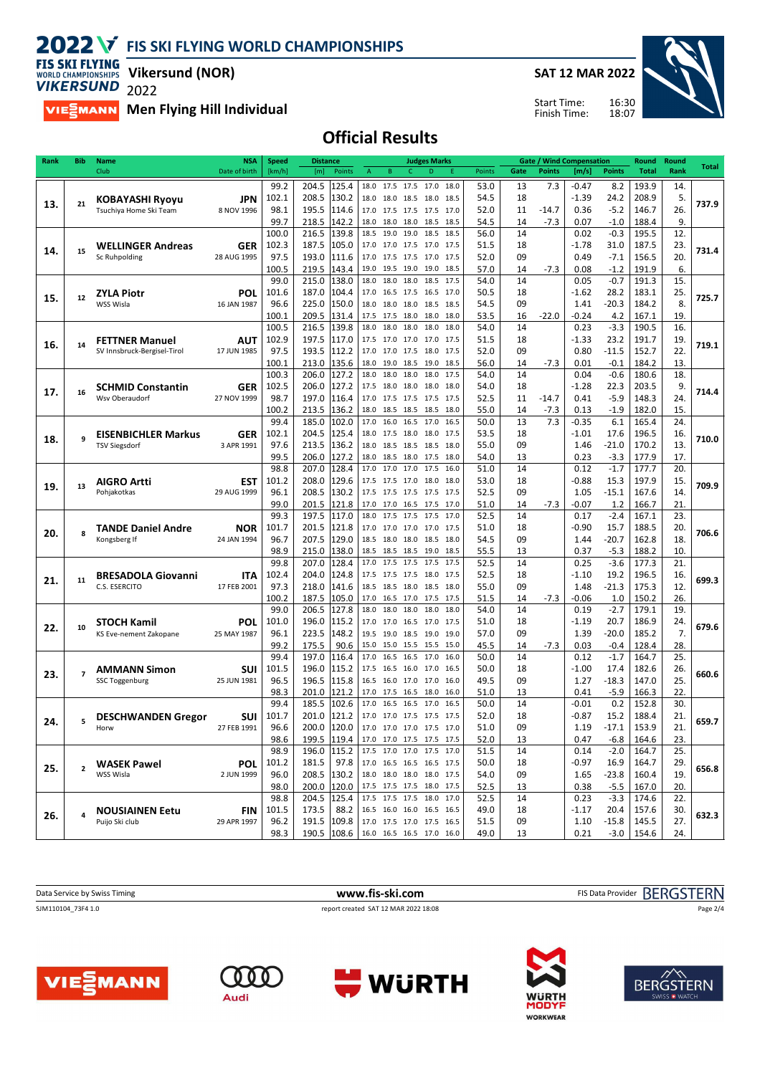**SAT 12 MAR 2022**

Start Time: Finish Time:



**FIS SKI FLYING VIRERSUND 2022 Vikersund (NOR)**

**MELAN Men Flying Hill Individual** 

**Official Results**

| Rank | <b>Bib</b>     | <b>Name</b>                       | NSΑ           | <b>Speed</b> | <b>Distance</b>          |                                                      | <b>Judges Marks</b> |              |          |               | <b>Gate / Wind Compensation</b> |               | Round        | Round | Total |
|------|----------------|-----------------------------------|---------------|--------------|--------------------------|------------------------------------------------------|---------------------|--------------|----------|---------------|---------------------------------|---------------|--------------|-------|-------|
|      |                | Club                              | Date of birth | [km/h]       | [m]<br>Points            | B<br>C.<br>A                                         | D<br>Ε              | Points       | Gate     | <b>Points</b> | [m/s]                           | <b>Points</b> | <b>Total</b> | Rank  |       |
|      |                |                                   |               | 99.2         | 204.5<br>125.4           | 18.0<br>17.5<br>17.5                                 | 17.0<br>18.0        | 53.0         | 13       | 7.3           | $-0.47$                         | 8.2           | 193.9        | 14.   |       |
|      |                | KOBAYASHI Ryoyu                   | <b>JPN</b>    | 102.1        | 208.5<br>130.2           | 18.0<br>18.0                                         | 18.5 18.0<br>18.5   | 54.5         | 18       |               | $-1.39$                         | 24.2          | 208.9        | 5.    |       |
| 13.  | 21             | Tsuchiya Home Ski Team            | 8 NOV 1996    | 98.1         | 195.5<br>114.6           | 17.0<br>17.5 17.5 17.5                               | 17.0                | 52.0         | 11       | $-14.7$       | 0.36                            | $-5.2$        | 146.7        | 26.   | 737.9 |
|      |                |                                   |               | 99.7         | 218.5<br>142.2           | 18.0<br>18.0<br>18.0                                 | 18.5<br>18.5        | 54.5         | 14       | $-7.3$        | 0.07                            | $-1.0$        | 188.4        | 9.    |       |
|      |                |                                   |               | 100.0        | 216.5<br>139.8           | 18.5<br>19.0<br>19.0                                 | 18.5<br>18.5        | 56.0         | 14       |               | 0.02                            | $-0.3$        | 195.5        | 12.   |       |
|      |                |                                   |               | 102.3        | 187.5<br>105.0           | 17.0 17.0 17.5 17.0                                  | 17.5                | 51.5         | 18       |               | -1.78                           | 31.0          | 187.5        |       |       |
| 14.  | 15             | <b>WELLINGER Andreas</b>          | <b>GER</b>    |              |                          |                                                      |                     |              |          |               |                                 |               |              | 23.   | 731.4 |
|      |                | Sc Ruhpolding                     | 28 AUG 1995   | 97.5         | 193.0<br>111.6           | 17.0<br>17.5 17.5 17.0                               | 17.5                | 52.0         | 09       |               | 0.49                            | $-7.1$        | 156.5        | 20.   |       |
|      |                |                                   |               | 100.5        | 219.5<br>143.4           | 19.0<br>19.5 19.0                                    | 19.0<br>18.5        | 57.0         | 14       | $-7.3$        | 0.08                            | $-1.2$        | 191.9        | 6.    |       |
|      |                |                                   |               | 99.0         | 138.0<br>215.0           | 18.0<br>18.0<br>18.0                                 | 18.5<br>17.5        | 54.0         | 14       |               | 0.05                            | $-0.7$        | 191.3        | 15.   |       |
| 15.  | 12             | ZYLA Piotr                        | POL           | 101.6        | 187.0<br>104.4           | 16.5 17.5<br>17.0                                    | 16.5<br>17.0        | 50.5         | 18       |               | -1.62                           | 28.2          | 183.1        | 25.   | 725.7 |
|      |                | WSS Wisla                         | 16 JAN 1987   | 96.6         | 225.0<br>150.0           | 18.0<br>18.0<br>18.0                                 | 18.5<br>18.5        | 54.5         | 09       |               | 1.41                            | $-20.3$       | 184.2        | 8.    |       |
|      |                |                                   |               | 100.1        | 131.4<br>209.5           | 17.5<br>17.5<br>18.0                                 | 18.0<br>18.0        | 53.5         | 16       | $-22.0$       | -0.24                           | 4.2           | 167.1        | 19.   |       |
|      |                |                                   |               | 100.5        | 216.5<br>139.8           | 18.0<br>18.0<br>18.0                                 | 18.0<br>18.0        | 54.0         | 14       |               | 0.23                            | $-3.3$        | 190.5        | 16.   |       |
| 16.  | 14             | <b>FETTNER Manuel</b>             | <b>AUT</b>    | 102.9        | 197.5<br>117.0           | 17.5 17.0 17.0 17.0                                  | 17.5                | 51.5         | 18       |               | -1.33                           | 23.2          | 191.7        | 19.   | 719.1 |
|      |                | SV Innsbruck-Bergisel-Tirol       | 17 JUN 1985   | 97.5         | 193.5<br>112.2           | 17.0 17.0 17.5 18.0                                  | 17.5                | 52.0         | 09       |               | 0.80                            | $-11.5$       | 152.7        | 22.   |       |
|      |                |                                   |               | 100.1        | 135.6<br>213.0           | 18.0<br>19.0<br>18.5                                 | 19.0<br>18.5        | 56.0         | 14       | $-7.3$        | 0.01                            | $-0.1$        | 184.2        | 13.   |       |
|      |                |                                   |               | 100.3        | 206.0<br>127.2           | 18.0<br>18.0<br>18.0                                 | 18.0<br>17.5        | 54.0         | 14       |               | 0.04                            | $-0.6$        | 180.6        | 18.   |       |
| 17.  | 16             | <b>SCHMID Constantin</b>          | <b>GER</b>    | 102.5        | 127.2<br>206.0           | 17.5<br>18.0<br>18.0                                 | 18.0<br>18.0        | 54.0         | 18       |               | $-1.28$                         | 22.3          | 203.5        | 9.    | 714.4 |
|      |                | Wsv Oberaudorf                    | 27 NOV 1999   | 98.7         | 197.0<br>116.4           | 17.0<br>17.5 17.5 17.5                               | 17.5                | 52.5         | 11       | $-14.7$       | 0.41                            | $-5.9$        | 148.3        | 24.   |       |
|      |                |                                   |               | 100.2        | 213.5<br>136.2           | 18.0<br>18.5 18.5                                    | 18.5<br>18.0        | 55.0         | 14       | $-7.3$        | 0.13                            | $-1.9$        | 182.0        | 15.   |       |
|      |                |                                   |               | 99.4         | 185.0<br>102.0           | 16.0 16.5<br>17.0                                    | 17.0<br>16.5        | 50.0         | 13       | 7.3           | $-0.35$                         | 6.1           | 165.4        | 24.   |       |
|      | q              | <b>EISENBICHLER Markus</b>        | <b>GER</b>    | 102.1        | 204.5<br>125.4           | 18.0<br>17.5 18.0 18.0                               | 17.5                | 53.5         | 18       |               | -1.01                           | 17.6          | 196.5        | 16.   |       |
| 18.  |                | <b>TSV Siegsdorf</b>              | 3 APR 1991    | 97.6         | 136.2<br>213.5           | 18.0<br>18.5 18.5 18.5                               | 18.0                | 55.0         | 09       |               | 1.46                            | $-21.0$       | 170.2        | 13.   | 710.0 |
|      |                |                                   |               | 99.5         | 206.0<br>127.2           | 18.0<br>18.5 18.0                                    | 17.5<br>18.0        | 54.0         | 13       |               | 0.23                            | $-3.3$        | 177.9        | 17.   |       |
|      |                |                                   |               | 98.8         | 128.4<br>207.0           | 17.0<br>17.0<br>17.0                                 | 17.5<br>16.0        | 51.0         | 14       |               | 0.12                            | $-1.7$        | 177.7        | 20.   |       |
|      |                | <b>AIGRO Artti</b>                | EST           | 101.2        | 208.0<br>129.6           | 17.5 17.5 17.0 18.0                                  | 18.0                | 53.0         | 18       |               | $-0.88$                         | 15.3          | 197.9        | 15.   |       |
| 19.  | 13             | Pohjakotkas                       | 29 AUG 1999   | 96.1         | 130.2<br>208.5           | 17.5 17.5 17.5 17.5                                  | 17.5                | 52.5         | 09       |               | 1.05                            | $-15.1$       | 167.6        | 14.   | 709.9 |
|      |                |                                   |               | 99.0         | 121.8<br>201.5           | 17.0<br>17.0<br>16.5                                 | 17.5<br>17.0        | 51.0         | 14       | $-7.3$        | -0.07                           | 1.2           | 166.7        | 21.   |       |
|      |                |                                   |               | 99.3         | 197.5<br>117.0           | 17.5<br>18.0<br>17.5                                 | 17.5<br>17.0        | 52.5         | 14       |               | 0.17                            | $-2.4$        | 167.1        | 23.   |       |
|      |                | <b>TANDE Daniel Andre</b>         | <b>NOR</b>    | 101.7        | 201.5<br>121.8           | 17.0 17.0 17.0 17.0                                  | 17.5                | 51.0         | 18       |               | $-0.90$                         | 15.7          | 188.5        | 20.   |       |
| 20.  | 8              | Kongsberg If                      | 24 JAN 1994   | 96.7         | 129.0<br>207.5           | 18.5<br>18.0<br>18.0                                 | 18.5<br>18.0        | 54.5         | 09       |               | 1.44                            | $-20.7$       | 162.8        | 18.   | 706.6 |
|      |                |                                   |               | 98.9         | 215.0<br>138.0           | 18.5<br>18.5<br>18.5                                 | 19.0<br>18.5        | 55.5         | 13       |               | 0.37                            | $-5.3$        | 188.2        | 10.   |       |
|      |                |                                   |               | 99.8         | 128.4<br>207.0           | 17.5<br>17.5<br>17.0                                 | 17.5<br>17.5        | 52.5         | 14       |               | 0.25                            | $-3.6$        | 177.3        | 21.   |       |
|      |                | <b>BRESADOLA Giovanni</b>         | ITA           | 102.4        | 124.8<br>204.0           | 17.5 17.5 17.5 18.0                                  | 17.5                | 52.5         | 18       |               | -1.10                           | 19.2          | 196.5        | 16.   |       |
| 21.  | 11             | C.S. ESERCITO                     | 17 FEB 2001   | 97.3         | 218.0<br>141.6           | 18.5 18.5 18.0 18.5                                  | 18.0                | 55.0         | 09       |               | 1.48                            | $-21.3$       | 175.3        | 12.   | 699.3 |
|      |                |                                   |               | 100.2        | 187.5<br>105.0           | 16.5 17.0<br>17.0                                    | 17.5<br>17.5        | 51.5         | 14       | $-7.3$        | -0.06                           | 1.0           | 150.2        | 26.   |       |
|      |                |                                   |               | 99.0         | 206.5<br>127.8           | 18.0<br>18.0<br>18.0                                 | 18.0<br>18.0        | 54.0         | 14       |               | 0.19                            | $-2.7$        | 179.1        | 19.   |       |
|      |                | <b>STOCH Kamil</b>                | POL           | 101.0        | 196.0<br>115.2           | 17.0<br>17.0<br>16.5                                 | 17.0<br>17.5        | 51.0         | 18       |               | -1.19                           | 20.7          | 186.9        | 24.   |       |
| 22.  | 10             | KS Eve-nement Zakopane            | 25 MAY 1987   | 96.1         | 223.5<br>148.2           | 19.5<br>19.0                                         | 18.5 19.0<br>19.0   | 57.0         | 09       |               | 1.39                            | $-20.0$       | 185.2        | 7.    | 679.6 |
|      |                |                                   |               | 99.2         | 175.5<br>90.6            | 15.0<br>15.0<br>15.5                                 | 15.5<br>15.0        | 45.5         | 14       | $-7.3$        | 0.03                            | $-0.4$        | 128.4        | 28.   |       |
|      |                |                                   |               | 99.4         | 197.0<br>116.4           | 16.5<br>16.5<br>17.0                                 | 17.0<br>16.0        | 50.0         | 14       |               | 0.12                            | $-1.7$        | 164.7        | 25.   |       |
|      |                | <b>AMMANN Simon</b>               | SUI           | 101.5        | 196.0<br>115.2           | 17.5<br>16.5 16.0 17.0                               | 16.5                | 50.0         | 18       |               | $-1.00$                         | 17.4          | 182.6        | 26.   |       |
| 23.  | 7              | SSC Toggenburg                    | 25 JUN 1981   | 96.5         | 196.5<br>115.8           | 16.5 16.0 17.0 17.0                                  | 16.0                | 49.5         | 09       |               | 1.27                            | $-18.3$       | 147.0        | 25.   | 660.6 |
|      |                |                                   |               | 98.3         | 121.2<br>201.0           | 17.0<br>17.5<br>16.5                                 | 18.0<br>16.0        | 51.0         | 13       |               | 0.41                            | $-5.9$        | 166.3        | 22.   |       |
|      |                |                                   |               | 99.4         | 185.5<br>102.6           | 17.0<br>16.5<br>16.5                                 | 16.5<br>17.0        | 50.0         | 14       |               | $-0.01$                         | 0.2           | 152.8        | 30.   |       |
|      |                |                                   | SUI           | 101.7        | 121.2<br>201.0           | 17.0 17.0 17.5 17.5                                  | 17.5                | 52.0         | 18       |               | $-0.87$                         | 15.2          | 188.4        | 21.   |       |
| 24.  | 5              | <b>DESCHWANDEN Gregor</b><br>Horw | 27 FEB 1991   | 96.6         | 200.0<br>120.0           | 17.0 17.0                                            | 17.0 17.5<br>17.0   | 51.0         | 09       |               | 1.19                            | $-17.1$       | 153.9        | 21    | 659.7 |
|      |                |                                   |               | 98.6         | 199.5                    | 17.0 17.0 17.5 17.5 17.5                             |                     |              |          |               | 0.47                            | $-6.8$        | 164.6        | 23.   |       |
|      |                |                                   |               | 98.9         | 119.4 <br>196.0<br>115.2 | 17.5 17.0 17.0 17.5 17.0                             |                     | 52.0<br>51.5 | 13<br>14 |               | 0.14                            | $-2.0$        | 164.7        | 25.   |       |
|      |                |                                   |               | 101.2        | 181.5<br>97.8            | 17.0 16.5 16.5 16.5 17.5                             |                     | 50.0         | 18       |               | $-0.97$                         | 16.9          | 164.7        | 29.   |       |
| 25.  | $\overline{2}$ | <b>WASEK Pawel</b>                | <b>POL</b>    |              |                          | 18.0 18.0 18.0 18.0 17.5                             |                     |              |          |               |                                 |               |              | 19.   | 656.8 |
|      |                | WSS Wisla                         | 2 JUN 1999    | 96.0         | 208.5<br>130.2           |                                                      |                     | 54.0         | 09       |               | 1.65                            | $-23.8$       | 160.4        |       |       |
|      |                |                                   |               | 98.0         | 200.0<br>120.0           | 17.5 17.5 17.5 18.0 17.5<br>17.5 17.5 17.5 18.0 17.0 |                     | 52.5         | 13       |               | 0.38                            | $-5.5$        | 167.0        | 20.   |       |
|      |                |                                   |               | 98.8         | 204.5<br>125.4           |                                                      |                     | 52.5         | 14       |               | 0.23                            | $-3.3$        | 174.6        | 22.   |       |
| 26.  | $\overline{a}$ | <b>NOUSIAINEN Eetu</b>            | <b>FIN</b>    | 101.5        | 173.5<br>88.2            | 16.5 16.0 16.0 16.5 16.5                             |                     | 49.0         | 18       |               | $-1.17$                         | 20.4          | 157.6        | 30.   | 632.3 |
|      |                | Puijo Ski club                    | 29 APR 1997   | 96.2         |                          | 191.5 109.8 17.0 17.5 17.0 17.5 16.5                 |                     | 51.5         | 09       |               | 1.10                            | $-15.8$       | 145.5        | 27.   |       |
|      |                |                                   |               | 98.3         |                          | 190.5 108.6 16.0 16.5 16.5 17.0 16.0                 |                     | 49.0         | 13       |               | 0.21                            |               | $-3.0$ 154.6 | 24.   |       |

| Data Service by Swiss Timing | www.fis-ski.com                      | FIS Data Provider BERGSTERN |
|------------------------------|--------------------------------------|-----------------------------|
| SJM110104_73F4 1.0           | report created SAT 12 MAR 2022 18:08 | Page 2/4                    |
|                              |                                      |                             |









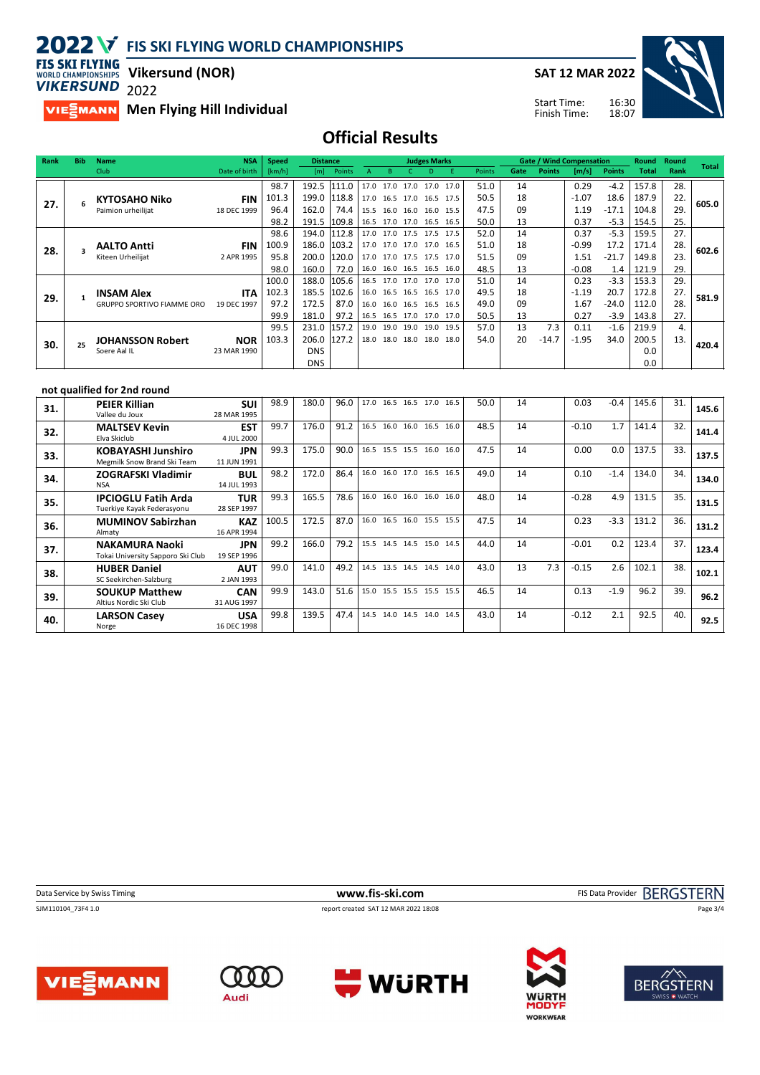**SAT 12 MAR 2022**



**FIS SKI FLYING Vikersund (NOR) WORLD CHAMPIONSHIPS VIKERSUND** 

**34.**  $\begin{bmatrix} 2C \\ N_S \end{bmatrix}$ 

**IPCIOGLU Fatih Arda**

**35. IPCIOGLU Fatih Arda**<br>Tuerkiye Kayak Federasyonu

**36. MUMINOV Sabirzhan** 

**37.** NAKAMURA Naoki<br>Tokai University Sapporo Ski Club **NAKAMURA Naoki**

**SOUKUP Matthew**

**LARSON Casey**

**38.** HUBER Daniel<br>SC Seekirchen-Salzburg **HUBER Daniel**

**39.** SOUKUP Matth<br>Altius Nordic Ski Club

**40.** LARS

# 2022

**MIESMANN** Men Flying Hill Individual

14 JUL 1993

28 SEP 1997

16 APR 1994

19 SEP 1996

2 JAN 1993

31 AUG 1997

16 DEC 1998

16:30 Start Time: Finish Time:

## **Official Results**

| Rank | <b>Bib</b>   | <b>Name</b>                       | <b>NSA</b>    | <b>Speed</b> | <b>Distance</b> |        |              |                |                          | <b>Judges Marks</b> |                          |        |      | <b>Gate / Wind Compensation</b> |         |               | Round        | Round | <b>Total</b> |
|------|--------------|-----------------------------------|---------------|--------------|-----------------|--------|--------------|----------------|--------------------------|---------------------|--------------------------|--------|------|---------------------------------|---------|---------------|--------------|-------|--------------|
|      |              | Club                              | Date of birth | [km/h]       | [m]             | Points | $\mathsf{A}$ | R              |                          |                     |                          | Points | Gate | <b>Points</b>                   | [m/s]   | <b>Points</b> | <b>Total</b> | Rank  |              |
|      |              |                                   |               | 98.7         | 192.5           | 111.0  | 17.0         |                | 17.0 17.0 17.0           |                     | 17.0                     | 51.0   | 14   |                                 | 0.29    | $-4.2$        | 157.8        | 28.   |              |
| 27.  | 6            | <b>KYTOSAHO Niko</b>              | <b>FIN</b>    | 101.3        | 199.0           | 118.8  |              |                | 17.0 16.5 17.0 16.5 17.5 |                     |                          | 50.5   | 18   |                                 | $-1.07$ | 18.6          | 187.9        | 22.   | 605.0        |
|      |              | Paimion urheilijat                | 18 DEC 1999   | 96.4         | 162.0           | 74.4   | 15.5         | 16.0 16.0      |                          |                     | 16.0 15.5                | 47.5   | 09   |                                 | 1.19    | $-17.1$       | 104.8        | 29    |              |
|      |              |                                   |               | 98.2         | 191.5           | 109.8  |              |                | 16.5 17.0 17.0 16.5 16.5 |                     |                          | 50.0   | 13   |                                 | 0.37    | $-5.3$        | 154.5        | 25.   |              |
|      |              |                                   |               | 98.6         | 194.0           | 112.8  |              |                | 17.0 17.0 17.5 17.5 17.5 |                     |                          | 52.0   | 14   |                                 | 0.37    | $-5.3$        | 159.5        | 27.   |              |
| 28.  |              | <b>AALTO Antti</b>                | <b>FIN</b>    | 100.9        | 186.0           | 103.2  | 17.0         |                | 17.0 17.0 17.0 16.5      |                     |                          | 51.0   | 18   |                                 | $-0.99$ | 17.2          | 171.4        | 28.   | 602.6        |
|      |              | Kiteen Urheilijat                 | 2 APR 1995    | 95.8         | 200.0           | 120.0  |              |                | 17.0 17.0 17.5 17.5      |                     | 17.0                     | 51.5   | 09   |                                 | 1.51    | $-21.7$       | 149.8        | 23.   |              |
|      |              |                                   |               | 98.0         | 160.0           | 72.0   |              |                |                          |                     | 16.0 16.0 16.5 16.5 16.0 | 48.5   | 13   |                                 | $-0.08$ | 1.4           | 121.9        | 29.   |              |
|      |              |                                   |               | 100.0        | 188.0           | 105.6  |              |                |                          |                     | 16.5 17.0 17.0 17.0 17.0 | 51.0   | 14   |                                 | 0.23    | $-3.3$        | 153.3        | 29.   |              |
| 29.  | $\mathbf{1}$ | <b>INSAM Alex</b>                 | <b>ITA</b>    | 102.3        | 185.5           | 102.6  |              | 16.0 16.5 16.5 |                          |                     | 16.5 17.0                | 49.5   | 18   |                                 | $-1.19$ | 20.7          | 172.8        | 27.   | 581.9        |
|      |              | <b>GRUPPO SPORTIVO FIAMME ORO</b> | 19 DEC 1997   | 97.2         | 172.5           | 87.0   | 16.0         |                | 16.0 16.5                |                     | 16.5 16.5                | 49.0   | 09   |                                 | 1.67    | $-24.0$       | 112.0        | 28    |              |
|      |              |                                   |               | 99.9         | 181.0           | 97.2   | 16.5         |                | 16.5 17.0 17.0 17.0      |                     |                          | 50.5   | 13   |                                 | 0.27    | $-3.9$        | 143.8        | 27.   |              |
|      |              |                                   |               | 99.5         | 231.0           | 157.2  | 19.0         |                | 19.0 19.0 19.0           |                     | 19.5                     | 57.0   | 13   | 7.3                             | 0.11    | $-1.6$        | 219.9        | 4.    |              |
| 30.  | 25           | <b>JOHANSSON Robert</b>           | <b>NOR</b>    | 103.3        | 206.0           | 127.2  |              |                | 18.0 18.0 18.0 18.0 18.0 |                     |                          | 54.0   | 20   | $-14.7$                         | $-1.95$ | 34.0          | 200.5        | 13.   | 420.4        |
|      |              | Soere Aal IL                      | 23 MAR 1990   |              | <b>DNS</b>      |        |              |                |                          |                     |                          |        |      |                                 |         |               | 0.0          |       |              |
|      |              |                                   |               |              | <b>DNS</b>      |        |              |                |                          |                     |                          |        |      |                                 |         |               | 0.0          |       |              |
|      |              |                                   |               |              |                 |        |              |                |                          |                     |                          |        |      |                                 |         |               |              |       |              |
|      |              | not qualified for 2nd round       |               |              |                 |        |              |                |                          |                     |                          |        |      |                                 |         |               |              |       |              |
|      |              | <b>PEIER Killian</b>              | <b>SUI</b>    | 98.9         | 180.0           | 96.0   |              |                |                          |                     | 17.0 16.5 16.5 17.0 16.5 | 50.0   | 14   |                                 | 0.03    | $-0.4$        | 145.6        | 31.   | 145.6        |
| 31.  |              | Vallee du Joux                    | 28 MAR 1995   |              |                 |        |              |                |                          |                     |                          |        |      |                                 |         |               |              |       |              |
| 32.  |              | <b>MALTSEV Kevin</b>              | <b>EST</b>    | 99.7         | 176.0           | 91.2   |              |                | 16.5 16.0 16.0 16.5      |                     | 16.0                     | 48.5   | 14   |                                 | $-0.10$ | 1.7           | 141.4        | 32.   | 141.4        |
|      |              | Elva Skiclub                      | 4 JUL 2000    |              |                 |        |              |                |                          |                     |                          |        |      |                                 |         |               |              |       |              |
| 33.  |              | <b>KOBAYASHI Junshiro</b>         | <b>JPN</b>    | 99.3         | 175.0           | 90.0   |              |                |                          |                     | 16.5 15.5 15.5 16.0 16.0 | 47.5   | 14   |                                 | 0.00    | 0.0           | 137.5        | 33.   | 137.5        |
|      |              | Megmilk Snow Brand Ski Team       | 11 JUN 1991   |              |                 |        |              |                |                          |                     |                          |        |      |                                 |         |               |              |       |              |
| 34.  |              | <b>ZOGRAFSKI Vladimir</b>         | <b>BUL</b>    | 98.2         | 172.0           | 86.4   |              |                | 16.0 16.0 17.0 16.5      |                     | 16.5                     | 49.0   | 14   |                                 | 0.10    | $-1.4$        | 134.0        | 34.   | 134.0        |
|      |              |                                   | 1000          |              |                 |        |              |                |                          |                     |                          |        |      |                                 |         |               |              |       |              |

SJM110104\_73F4 1.0 report created SAT 12 MAR 2022 18:08

**TUR** | 99.3 | 165.5 | 78.6 | 16.0 16.0 16.0 16.0 | 16.0 | 18.0 | 14 | -0.28 4.9 | 131.5 | 35. | 131.5

**KAZ** 100.5 172.5 87.0 16.0 16.5 16.0 15.5 15.5 47.5 14 0.23 -3.3 131.2 36. 131.2

**JPN 123.4** 166.0 79.2 5.5 14.5 14.5 15.0 14.5 44.0 14 0 0.01 0.2 123.4 37.

**AUT** | 99.0 | 141.0 | 49.2 | <sup>14.5</sup> 13.5 14.5 14.5 14.0 | 43.0 | 13 7.3 | -0.15 2.6 | 102.1 | 38. | 102.1

**CAN 99.9** 143.0 51.6 15.0 15.5 15.5 15.5 15.5 46.5 14 0.13 -1.9 96.2 39. 96.2

**USA** 99.8 139.5 47.4 14.5 14.0 14.5 14.0 14.5 43.0 14  $\left[ 0.12 \right]$  2.1 92.5 40. 92.5

**Data Service by Swiss Timing www.fis-ski.com** FIS Data Provider BERGSTERN

Page 3/4



**VIESMANN**